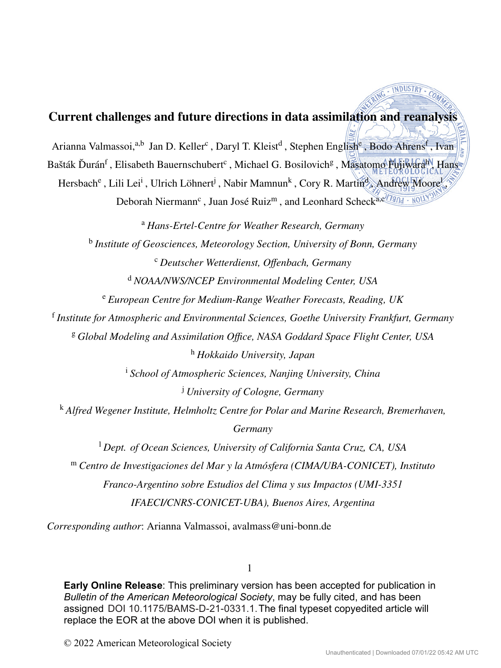# **Current challenges and future directions in data assimilation and reanalysis**

Arianna Valmassoi,<sup>a,b</sup> Jan D. Keller<sup>c</sup>, Daryl T. Kleist<sup>d</sup>, Stephen English<sup>e</sup>, Bodo Ahrens<sup>f</sup>, Ivan

Bašták Ďurán<sup>f</sup>, Elisabeth Bauernschubert<sup>c</sup>, Michael G. Bosilovich<sup>g</sup>, Masatomo Fujiwara<sup>h</sup>, Hans

Hersbach<sup>e</sup>, Lili Lei<sup>i</sup>, Ulrich Löhnert<sup>j</sup>, Nabir Mamnun<sup>k</sup>, Cory R. Martin<sup>d</sup>, Andrew Moore<sup>l</sup>

Deborah Niermann<sup>c</sup>, Juan José Ruiz<sup>m</sup>, and Leonhard Scheck<sup>a,c/19</sup>04 · NOU

<sup>a</sup> *Hans-Ertel-Centre for Weather Research, Germany*

<sup>b</sup> *Institute of Geosciences, Meteorology Section, University of Bonn, Germany* <sup>c</sup> *Deutscher Wetterdienst, Offenbach, Germany*

<sup>d</sup> *NOAA/NWS/NCEP Environmental Modeling Center, USA*

<sup>e</sup> *European Centre for Medium-Range Weather Forecasts, Reading, UK*

<sup>f</sup> *Institute for Atmospheric and Environmental Sciences, Goethe University Frankfurt, Germany*

<sup>g</sup> *Global Modeling and Assimilation Office, NASA Goddard Space Flight Center, USA* <sup>h</sup> *Hokkaido University, Japan*

<sup>i</sup> *School of Atmospheric Sciences, Nanjing University, China*

<sup>j</sup> *University of Cologne, Germany*

<sup>k</sup> *Alfred Wegener Institute, Helmholtz Centre for Polar and Marine Research, Bremerhaven, Germany*

<sup>l</sup> *Dept. of Ocean Sciences, University of California Santa Cruz, CA, USA* <sup>m</sup> *Centro de Investigaciones del Mar y la Atmósfera (CIMA/UBA-CONICET), Instituto Franco-Argentino sobre Estudios del Clima y sus Impactos (UMI-3351 IFAECI/CNRS-CONICET-UBA), Buenos Aires, Argentina*

*Corresponding author*: Arianna Valmassoi, avalmass@uni-bonn.de

1

assigned DOI 10.1175/BAMS-D-21-0331.1. The final typeset copyedited article will **Early Online Release**: This preliminary version has been accepted for publication in *Bulletin of the American Meteorological Society*, may be fully cited, and has been replace the EOR at the above DOI when it is published.

© 2022 American Meteorological Society

RING . INDUSTRY.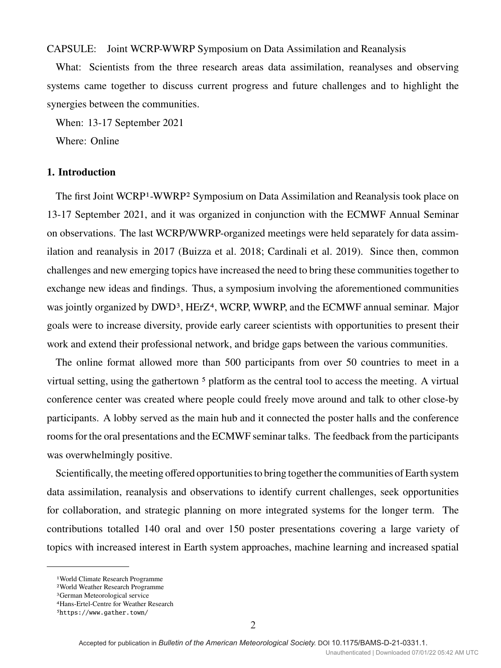## CAPSULE: Joint WCRP-WWRP Symposium on Data Assimilation and Reanalysis

What: Scientists from the three research areas data assimilation, reanalyses and observing systems came together to discuss current progress and future challenges and to highlight the synergies between the communities.

When: 13-17 September 2021

Where: Online

# **1. Introduction**

The first Joint WCRP1-WWRP2 Symposium on Data Assimilation and Reanalysis took place on 13-17 September 2021, and it was organized in conjunction with the ECMWF Annual Seminar on observations. The last WCRP/WWRP-organized meetings were held separately for data assimilation and reanalysis in 2017 (Buizza et al. 2018; Cardinali et al. 2019). Since then, common challenges and new emerging topics have increased the need to bring these communities together to exchange new ideas and findings. Thus, a symposium involving the aforementioned communities was jointly organized by DWD<sup>3</sup>, HErZ<sup>4</sup>, WCRP, WWRP, and the ECMWF annual seminar. Major goals were to increase diversity, provide early career scientists with opportunities to present their work and extend their professional network, and bridge gaps between the various communities.

The online format allowed more than 500 participants from over 50 countries to meet in a virtual setting, using the gathertown<sup>5</sup> platform as the central tool to access the meeting. A virtual conference center was created where people could freely move around and talk to other close-by participants. A lobby served as the main hub and it connected the poster halls and the conference rooms for the oral presentations and the ECMWF seminar talks. The feedback from the participants was overwhelmingly positive.

Scientifically, the meeting offered opportunities to bring together the communities of Earth system data assimilation, reanalysis and observations to identify current challenges, seek opportunities for collaboration, and strategic planning on more integrated systems for the longer term. The contributions totalled 140 oral and over 150 poster presentations covering a large variety of topics with increased interest in Earth system approaches, machine learning and increased spatial

<sup>1</sup>World Climate Research Programme

<sup>2</sup>World Weather Research Programme

<sup>3</sup>German Meteorological service

<sup>4</sup>Hans-Ertel-Centre for Weather Research 5https://www.gather.town/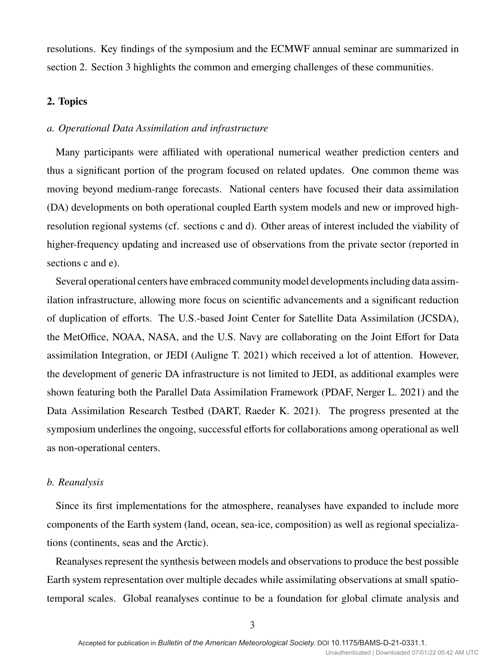resolutions. Key findings of the symposium and the ECMWF annual seminar are summarized in section 2. Section 3 highlights the common and emerging challenges of these communities.

# **2. Topics**

### *a. Operational Data Assimilation and infrastructure*

Many participants were affiliated with operational numerical weather prediction centers and thus a significant portion of the program focused on related updates. One common theme was moving beyond medium-range forecasts. National centers have focused their data assimilation (DA) developments on both operational coupled Earth system models and new or improved highresolution regional systems (cf. sections c and d). Other areas of interest included the viability of higher-frequency updating and increased use of observations from the private sector (reported in sections c and e).

Several operational centers have embraced community model developments including data assimilation infrastructure, allowing more focus on scientific advancements and a significant reduction of duplication of efforts. The U.S.-based Joint Center for Satellite Data Assimilation (JCSDA), the MetOffice, NOAA, NASA, and the U.S. Navy are collaborating on the Joint Effort for Data assimilation Integration, or JEDI (Auligne T. 2021) which received a lot of attention. However, the development of generic DA infrastructure is not limited to JEDI, as additional examples were shown featuring both the Parallel Data Assimilation Framework (PDAF, Nerger L. 2021) and the Data Assimilation Research Testbed (DART, Raeder K. 2021). The progress presented at the symposium underlines the ongoing, successful efforts for collaborations among operational as well as non-operational centers.

## *b. Reanalysis*

Since its first implementations for the atmosphere, reanalyses have expanded to include more components of the Earth system (land, ocean, sea-ice, composition) as well as regional specializations (continents, seas and the Arctic).

Reanalyses represent the synthesis between models and observations to produce the best possible Earth system representation over multiple decades while assimilating observations at small spatiotemporal scales. Global reanalyses continue to be a foundation for global climate analysis and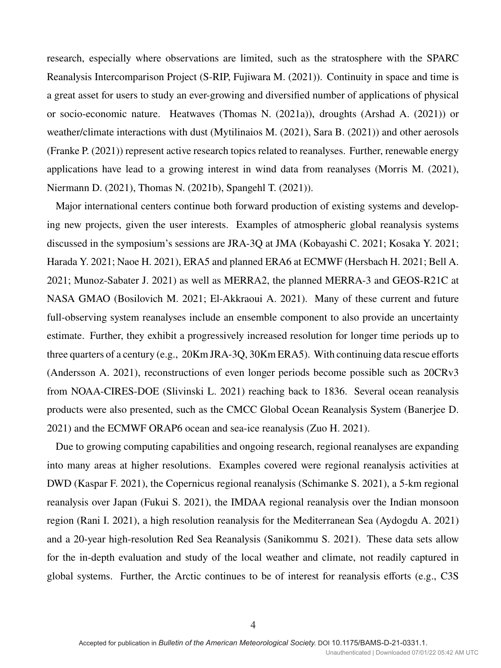research, especially where observations are limited, such as the stratosphere with the SPARC Reanalysis Intercomparison Project (S-RIP, Fujiwara M. (2021)). Continuity in space and time is a great asset for users to study an ever-growing and diversified number of applications of physical or socio-economic nature. Heatwaves (Thomas N. (2021a)), droughts (Arshad A. (2021)) or weather/climate interactions with dust (Mytilinaios M. (2021), Sara B. (2021)) and other aerosols (Franke P. (2021)) represent active research topics related to reanalyses. Further, renewable energy applications have lead to a growing interest in wind data from reanalyses (Morris M. (2021), Niermann D. (2021), Thomas N. (2021b), Spangehl T. (2021)).

Major international centers continue both forward production of existing systems and developing new projects, given the user interests. Examples of atmospheric global reanalysis systems discussed in the symposium's sessions are JRA-3Q at JMA (Kobayashi C. 2021; Kosaka Y. 2021; Harada Y. 2021; Naoe H. 2021), ERA5 and planned ERA6 at ECMWF (Hersbach H. 2021; Bell A. 2021; Munoz-Sabater J. 2021) as well as MERRA2, the planned MERRA-3 and GEOS-R21C at NASA GMAO (Bosilovich M. 2021; El-Akkraoui A. 2021). Many of these current and future full-observing system reanalyses include an ensemble component to also provide an uncertainty estimate. Further, they exhibit a progressively increased resolution for longer time periods up to three quarters of a century (e.g., 20Km JRA-3Q, 30Km ERA5). With continuing data rescue efforts (Andersson A. 2021), reconstructions of even longer periods become possible such as 20CRv3 from NOAA-CIRES-DOE (Slivinski L. 2021) reaching back to 1836. Several ocean reanalysis products were also presented, such as the CMCC Global Ocean Reanalysis System (Banerjee D. 2021) and the ECMWF ORAP6 ocean and sea-ice reanalysis (Zuo H. 2021).

Due to growing computing capabilities and ongoing research, regional reanalyses are expanding into many areas at higher resolutions. Examples covered were regional reanalysis activities at DWD (Kaspar F. 2021), the Copernicus regional reanalysis (Schimanke S. 2021), a 5-km regional reanalysis over Japan (Fukui S. 2021), the IMDAA regional reanalysis over the Indian monsoon region (Rani I. 2021), a high resolution reanalysis for the Mediterranean Sea (Aydogdu A. 2021) and a 20-year high-resolution Red Sea Reanalysis (Sanikommu S. 2021). These data sets allow for the in-depth evaluation and study of the local weather and climate, not readily captured in global systems. Further, the Arctic continues to be of interest for reanalysis efforts (e.g., C3S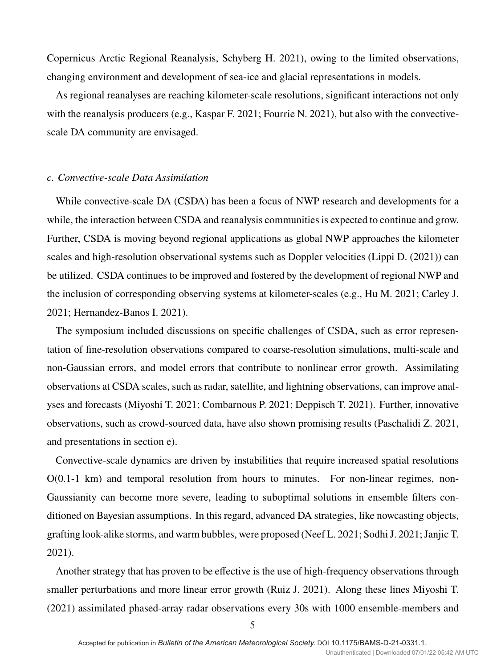Copernicus Arctic Regional Reanalysis, Schyberg H. 2021), owing to the limited observations, changing environment and development of sea-ice and glacial representations in models.

As regional reanalyses are reaching kilometer-scale resolutions, significant interactions not only with the reanalysis producers (e.g., Kaspar F. 2021; Fourrie N. 2021), but also with the convectivescale DA community are envisaged.

#### *c. Convective-scale Data Assimilation*

While convective-scale DA (CSDA) has been a focus of NWP research and developments for a while, the interaction between CSDA and reanalysis communities is expected to continue and grow. Further, CSDA is moving beyond regional applications as global NWP approaches the kilometer scales and high-resolution observational systems such as Doppler velocities (Lippi D. (2021)) can be utilized. CSDA continues to be improved and fostered by the development of regional NWP and the inclusion of corresponding observing systems at kilometer-scales (e.g., Hu M. 2021; Carley J. 2021; Hernandez-Banos I. 2021).

The symposium included discussions on specific challenges of CSDA, such as error representation of fine-resolution observations compared to coarse-resolution simulations, multi-scale and non-Gaussian errors, and model errors that contribute to nonlinear error growth. Assimilating observations at CSDA scales, such as radar, satellite, and lightning observations, can improve analyses and forecasts (Miyoshi T. 2021; Combarnous P. 2021; Deppisch T. 2021). Further, innovative observations, such as crowd-sourced data, have also shown promising results (Paschalidi Z. 2021, and presentations in section e).

Convective-scale dynamics are driven by instabilities that require increased spatial resolutions O(0.1-1 km) and temporal resolution from hours to minutes. For non-linear regimes, non-Gaussianity can become more severe, leading to suboptimal solutions in ensemble filters conditioned on Bayesian assumptions. In this regard, advanced DA strategies, like nowcasting objects, grafting look-alike storms, and warm bubbles, were proposed (Neef L. 2021; Sodhi J. 2021; Janjic T. 2021).

Another strategy that has proven to be effective is the use of high-frequency observations through smaller perturbations and more linear error growth (Ruiz J. 2021). Along these lines Miyoshi T. (2021) assimilated phased-array radar observations every 30s with 1000 ensemble-members and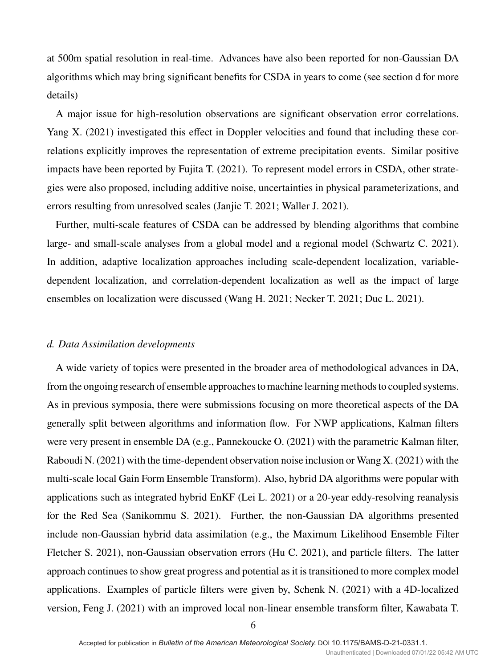at 500m spatial resolution in real-time. Advances have also been reported for non-Gaussian DA algorithms which may bring significant benefits for CSDA in years to come (see section d for more details)

A major issue for high-resolution observations are significant observation error correlations. Yang X. (2021) investigated this effect in Doppler velocities and found that including these correlations explicitly improves the representation of extreme precipitation events. Similar positive impacts have been reported by Fujita T. (2021). To represent model errors in CSDA, other strategies were also proposed, including additive noise, uncertainties in physical parameterizations, and errors resulting from unresolved scales (Janjic T. 2021; Waller J. 2021).

Further, multi-scale features of CSDA can be addressed by blending algorithms that combine large- and small-scale analyses from a global model and a regional model (Schwartz C. 2021). In addition, adaptive localization approaches including scale-dependent localization, variabledependent localization, and correlation-dependent localization as well as the impact of large ensembles on localization were discussed (Wang H. 2021; Necker T. 2021; Duc L. 2021).

#### *d. Data Assimilation developments*

A wide variety of topics were presented in the broader area of methodological advances in DA, from the ongoing research of ensemble approaches to machine learning methods to coupled systems. As in previous symposia, there were submissions focusing on more theoretical aspects of the DA generally split between algorithms and information flow. For NWP applications, Kalman filters were very present in ensemble DA (e.g., Pannekoucke O. (2021) with the parametric Kalman filter, Raboudi N. (2021) with the time-dependent observation noise inclusion or Wang X. (2021) with the multi-scale local Gain Form Ensemble Transform). Also, hybrid DA algorithms were popular with applications such as integrated hybrid EnKF (Lei L. 2021) or a 20-year eddy-resolving reanalysis for the Red Sea (Sanikommu S. 2021). Further, the non-Gaussian DA algorithms presented include non-Gaussian hybrid data assimilation (e.g., the Maximum Likelihood Ensemble Filter Fletcher S. 2021), non-Gaussian observation errors (Hu C. 2021), and particle filters. The latter approach continues to show great progress and potential as it is transitioned to more complex model applications. Examples of particle filters were given by, Schenk N. (2021) with a 4D-localized version, Feng J. (2021) with an improved local non-linear ensemble transform filter, Kawabata T.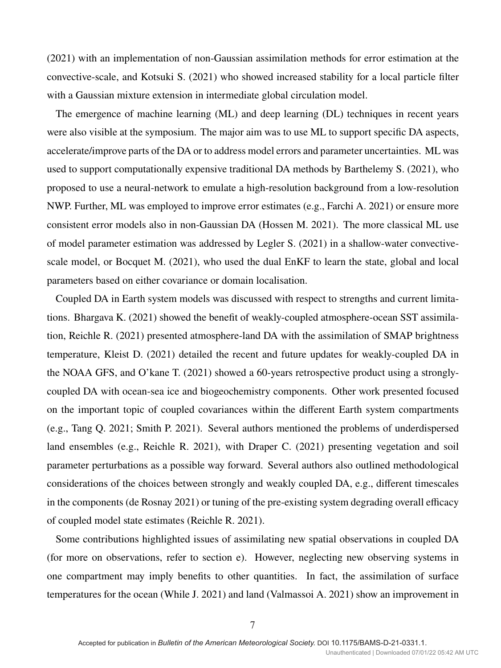(2021) with an implementation of non-Gaussian assimilation methods for error estimation at the convective-scale, and Kotsuki S. (2021) who showed increased stability for a local particle filter with a Gaussian mixture extension in intermediate global circulation model.

The emergence of machine learning (ML) and deep learning (DL) techniques in recent years were also visible at the symposium. The major aim was to use ML to support specific DA aspects, accelerate/improve parts of the DA or to address model errors and parameter uncertainties. ML was used to support computationally expensive traditional DA methods by Barthelemy S. (2021), who proposed to use a neural-network to emulate a high-resolution background from a low-resolution NWP. Further, ML was employed to improve error estimates (e.g., Farchi A. 2021) or ensure more consistent error models also in non-Gaussian DA (Hossen M. 2021). The more classical ML use of model parameter estimation was addressed by Legler S. (2021) in a shallow-water convectivescale model, or Bocquet M. (2021), who used the dual EnKF to learn the state, global and local parameters based on either covariance or domain localisation.

Coupled DA in Earth system models was discussed with respect to strengths and current limitations. Bhargava K. (2021) showed the benefit of weakly-coupled atmosphere-ocean SST assimilation, Reichle R. (2021) presented atmosphere-land DA with the assimilation of SMAP brightness temperature, Kleist D. (2021) detailed the recent and future updates for weakly-coupled DA in the NOAA GFS, and O'kane T. (2021) showed a 60-years retrospective product using a stronglycoupled DA with ocean-sea ice and biogeochemistry components. Other work presented focused on the important topic of coupled covariances within the different Earth system compartments (e.g., Tang Q. 2021; Smith P. 2021). Several authors mentioned the problems of underdispersed land ensembles (e.g., Reichle R. 2021), with Draper C. (2021) presenting vegetation and soil parameter perturbations as a possible way forward. Several authors also outlined methodological considerations of the choices between strongly and weakly coupled DA, e.g., different timescales in the components (de Rosnay 2021) or tuning of the pre-existing system degrading overall efficacy of coupled model state estimates (Reichle R. 2021).

Some contributions highlighted issues of assimilating new spatial observations in coupled DA (for more on observations, refer to section e). However, neglecting new observing systems in one compartment may imply benefits to other quantities. In fact, the assimilation of surface temperatures for the ocean (While J. 2021) and land (Valmassoi A. 2021) show an improvement in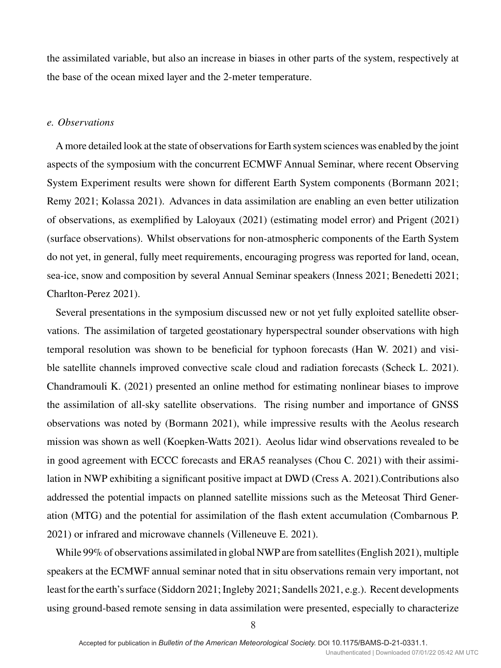the assimilated variable, but also an increase in biases in other parts of the system, respectively at the base of the ocean mixed layer and the 2-meter temperature.

# *e. Observations*

A more detailed look at the state of observations for Earth system sciences was enabled by the joint aspects of the symposium with the concurrent ECMWF Annual Seminar, where recent Observing System Experiment results were shown for different Earth System components (Bormann 2021; Remy 2021; Kolassa 2021). Advances in data assimilation are enabling an even better utilization of observations, as exemplified by Laloyaux (2021) (estimating model error) and Prigent (2021) (surface observations). Whilst observations for non-atmospheric components of the Earth System do not yet, in general, fully meet requirements, encouraging progress was reported for land, ocean, sea-ice, snow and composition by several Annual Seminar speakers (Inness 2021; Benedetti 2021; Charlton-Perez 2021).

Several presentations in the symposium discussed new or not yet fully exploited satellite observations. The assimilation of targeted geostationary hyperspectral sounder observations with high temporal resolution was shown to be beneficial for typhoon forecasts (Han W. 2021) and visible satellite channels improved convective scale cloud and radiation forecasts (Scheck L. 2021). Chandramouli K. (2021) presented an online method for estimating nonlinear biases to improve the assimilation of all-sky satellite observations. The rising number and importance of GNSS observations was noted by (Bormann 2021), while impressive results with the Aeolus research mission was shown as well (Koepken-Watts 2021). Aeolus lidar wind observations revealed to be in good agreement with ECCC forecasts and ERA5 reanalyses (Chou C. 2021) with their assimilation in NWP exhibiting a significant positive impact at DWD (Cress A. 2021).Contributions also addressed the potential impacts on planned satellite missions such as the Meteosat Third Generation (MTG) and the potential for assimilation of the flash extent accumulation (Combarnous P. 2021) or infrared and microwave channels (Villeneuve E. 2021).

While 99% of observations assimilated in global NWP are from satellites (English 2021), multiple speakers at the ECMWF annual seminar noted that in situ observations remain very important, not least for the earth's surface (Siddorn 2021; Ingleby 2021; Sandells 2021, e.g.). Recent developments using ground-based remote sensing in data assimilation were presented, especially to characterize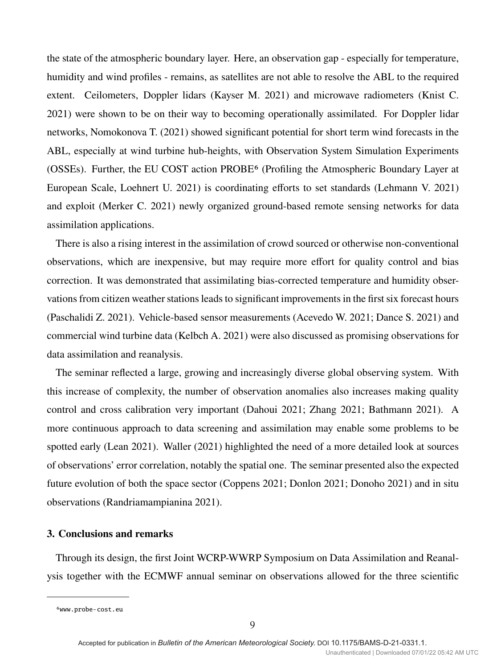the state of the atmospheric boundary layer. Here, an observation gap - especially for temperature, humidity and wind profiles - remains, as satellites are not able to resolve the ABL to the required extent. Ceilometers, Doppler lidars (Kayser M. 2021) and microwave radiometers (Knist C. 2021) were shown to be on their way to becoming operationally assimilated. For Doppler lidar networks, Nomokonova T. (2021) showed significant potential for short term wind forecasts in the ABL, especially at wind turbine hub-heights, with Observation System Simulation Experiments (OSSEs). Further, the EU COST action PROBE6 (Profiling the Atmospheric Boundary Layer at European Scale, Loehnert U. 2021) is coordinating efforts to set standards (Lehmann V. 2021) and exploit (Merker C. 2021) newly organized ground-based remote sensing networks for data assimilation applications.

There is also a rising interest in the assimilation of crowd sourced or otherwise non-conventional observations, which are inexpensive, but may require more effort for quality control and bias correction. It was demonstrated that assimilating bias-corrected temperature and humidity observations from citizen weather stations leads to significant improvements in the first six forecast hours (Paschalidi Z. 2021). Vehicle-based sensor measurements (Acevedo W. 2021; Dance S. 2021) and commercial wind turbine data (Kelbch A. 2021) were also discussed as promising observations for data assimilation and reanalysis.

The seminar reflected a large, growing and increasingly diverse global observing system. With this increase of complexity, the number of observation anomalies also increases making quality control and cross calibration very important (Dahoui 2021; Zhang 2021; Bathmann 2021). A more continuous approach to data screening and assimilation may enable some problems to be spotted early (Lean 2021). Waller (2021) highlighted the need of a more detailed look at sources of observations' error correlation, notably the spatial one. The seminar presented also the expected future evolution of both the space sector (Coppens 2021; Donlon 2021; Donoho 2021) and in situ observations (Randriamampianina 2021).

# **3. Conclusions and remarks**

Through its design, the first Joint WCRP-WWRP Symposium on Data Assimilation and Reanalysis together with the ECMWF annual seminar on observations allowed for the three scientific

<sup>6</sup>www.probe-cost.eu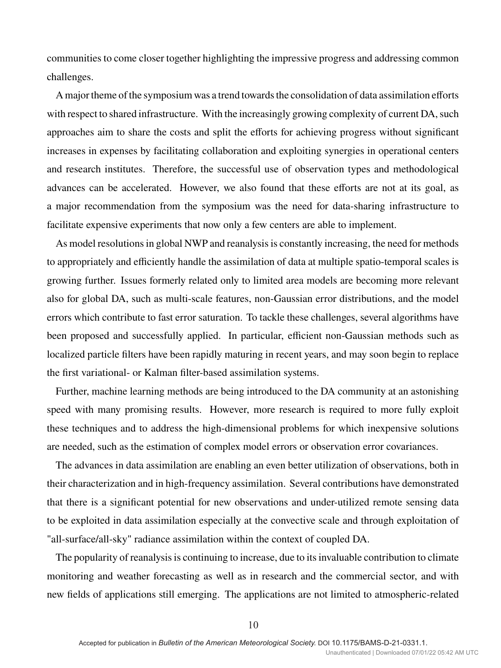communities to come closer together highlighting the impressive progress and addressing common challenges.

A major theme of the symposium was a trend towards the consolidation of data assimilation efforts with respect to shared infrastructure. With the increasingly growing complexity of current DA, such approaches aim to share the costs and split the efforts for achieving progress without significant increases in expenses by facilitating collaboration and exploiting synergies in operational centers and research institutes. Therefore, the successful use of observation types and methodological advances can be accelerated. However, we also found that these efforts are not at its goal, as a major recommendation from the symposium was the need for data-sharing infrastructure to facilitate expensive experiments that now only a few centers are able to implement.

As model resolutions in global NWP and reanalysis is constantly increasing, the need for methods to appropriately and efficiently handle the assimilation of data at multiple spatio-temporal scales is growing further. Issues formerly related only to limited area models are becoming more relevant also for global DA, such as multi-scale features, non-Gaussian error distributions, and the model errors which contribute to fast error saturation. To tackle these challenges, several algorithms have been proposed and successfully applied. In particular, efficient non-Gaussian methods such as localized particle filters have been rapidly maturing in recent years, and may soon begin to replace the first variational- or Kalman filter-based assimilation systems.

Further, machine learning methods are being introduced to the DA community at an astonishing speed with many promising results. However, more research is required to more fully exploit these techniques and to address the high-dimensional problems for which inexpensive solutions are needed, such as the estimation of complex model errors or observation error covariances.

The advances in data assimilation are enabling an even better utilization of observations, both in their characterization and in high-frequency assimilation. Several contributions have demonstrated that there is a significant potential for new observations and under-utilized remote sensing data to be exploited in data assimilation especially at the convective scale and through exploitation of "all-surface/all-sky" radiance assimilation within the context of coupled DA.

The popularity of reanalysis is continuing to increase, due to its invaluable contribution to climate monitoring and weather forecasting as well as in research and the commercial sector, and with new fields of applications still emerging. The applications are not limited to atmospheric-related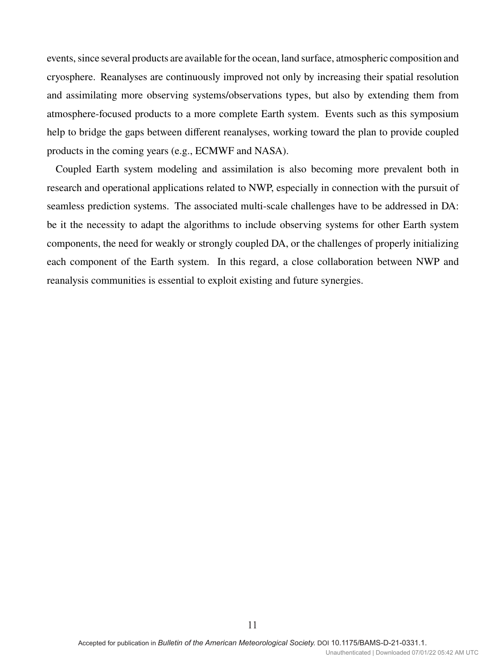events, since several products are available for the ocean, land surface, atmospheric composition and cryosphere. Reanalyses are continuously improved not only by increasing their spatial resolution and assimilating more observing systems/observations types, but also by extending them from atmosphere-focused products to a more complete Earth system. Events such as this symposium help to bridge the gaps between different reanalyses, working toward the plan to provide coupled products in the coming years (e.g., ECMWF and NASA).

Coupled Earth system modeling and assimilation is also becoming more prevalent both in research and operational applications related to NWP, especially in connection with the pursuit of seamless prediction systems. The associated multi-scale challenges have to be addressed in DA: be it the necessity to adapt the algorithms to include observing systems for other Earth system components, the need for weakly or strongly coupled DA, or the challenges of properly initializing each component of the Earth system. In this regard, a close collaboration between NWP and reanalysis communities is essential to exploit existing and future synergies.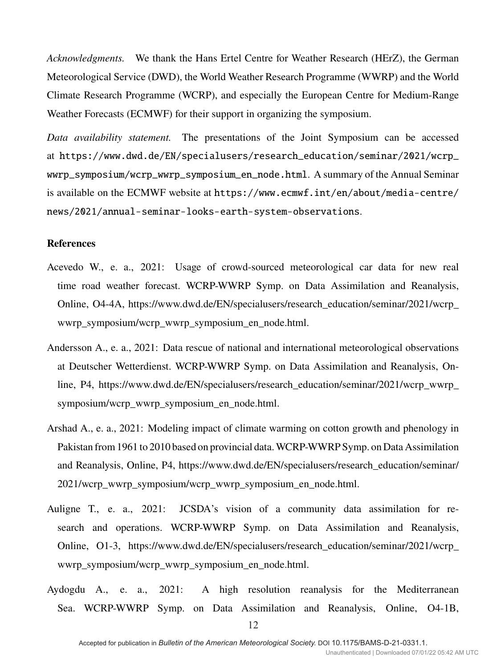*Acknowledgments.* We thank the Hans Ertel Centre for Weather Research (HErZ), the German Meteorological Service (DWD), the World Weather Research Programme (WWRP) and the World Climate Research Programme (WCRP), and especially the European Centre for Medium-Range Weather Forecasts (ECMWF) for their support in organizing the symposium.

*Data availability statement.* The presentations of the Joint Symposium can be accessed at https://www.dwd.de/EN/specialusers/research\_education/seminar/2021/wcrp\_ wwrp\_symposium/wcrp\_wwrp\_symposium\_en\_node.html. A summary of the Annual Seminar is available on the ECMWF website at https://www.ecmwf.int/en/about/media-centre/ news/2021/annual-seminar-looks-earth-system-observations.

## **References**

- Acevedo W., e. a., 2021: Usage of crowd-sourced meteorological car data for new real time road weather forecast. WCRP-WWRP Symp. on Data Assimilation and Reanalysis, Online, O4-4A, https://www.dwd.de/EN/specialusers/research\_education/seminar/2021/wcrp\_ wwrp symposium/wcrp\_wwrp\_symposium\_en\_node.html.
- Andersson A., e. a., 2021: Data rescue of national and international meteorological observations at Deutscher Wetterdienst. WCRP-WWRP Symp. on Data Assimilation and Reanalysis, Online, P4, https://www.dwd.de/EN/specialusers/research\_education/seminar/2021/wcrp\_wwrp\_ symposium/wcrp\_wwrp\_symposium\_en\_node.html.
- Arshad A., e. a., 2021: Modeling impact of climate warming on cotton growth and phenology in Pakistan from 1961 to 2010 based on provincial data.WCRP-WWRP Symp. on Data Assimilation and Reanalysis, Online, P4, https://www.dwd.de/EN/specialusers/research\_education/seminar/ 2021/wcrp\_wwrp\_symposium/wcrp\_wwrp\_symposium\_en\_node.html.
- Auligne T., e. a., 2021: JCSDA's vision of a community data assimilation for research and operations. WCRP-WWRP Symp. on Data Assimilation and Reanalysis, Online, O1-3, https://www.dwd.de/EN/specialusers/research\_education/seminar/2021/wcrp\_ wwrp\_symposium/wcrp\_wwrp\_symposium\_en\_node.html.
- Aydogdu A., e. a., 2021: A high resolution reanalysis for the Mediterranean Sea. WCRP-WWRP Symp. on Data Assimilation and Reanalysis, Online, O4-1B,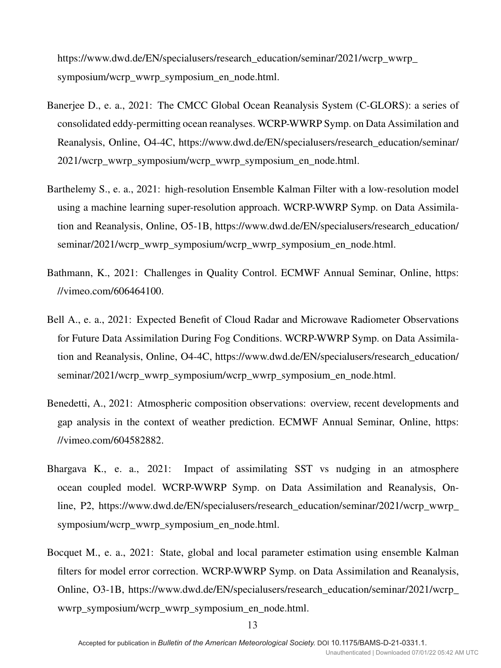https://www.dwd.de/EN/specialusers/research\_education/seminar/2021/wcrp\_wwrp symposium/wcrp\_wwrp\_symposium\_en\_node.html.

- Banerjee D., e. a., 2021: The CMCC Global Ocean Reanalysis System (C-GLORS): a series of consolidated eddy-permitting ocean reanalyses. WCRP-WWRP Symp. on Data Assimilation and Reanalysis, Online, O4-4C, https://www.dwd.de/EN/specialusers/research\_education/seminar/ 2021/wcrp\_wwrp\_symposium/wcrp\_wwrp\_symposium\_en\_node.html.
- Barthelemy S., e. a., 2021: high-resolution Ensemble Kalman Filter with a low-resolution model using a machine learning super-resolution approach. WCRP-WWRP Symp. on Data Assimilation and Reanalysis, Online, O5-1B, https://www.dwd.de/EN/specialusers/research\_education/ seminar/2021/wcrp\_wwrp\_symposium/wcrp\_wwrp\_symposium\_en\_node.html.
- Bathmann, K., 2021: Challenges in Quality Control. ECMWF Annual Seminar, Online, https: //vimeo.com/606464100.
- Bell A., e. a., 2021: Expected Benefit of Cloud Radar and Microwave Radiometer Observations for Future Data Assimilation During Fog Conditions. WCRP-WWRP Symp. on Data Assimilation and Reanalysis, Online, O4-4C, https://www.dwd.de/EN/specialusers/research\_education/ seminar/2021/wcrp\_wwrp\_symposium/wcrp\_wwrp\_symposium\_en\_node.html.
- Benedetti, A., 2021: Atmospheric composition observations: overview, recent developments and gap analysis in the context of weather prediction. ECMWF Annual Seminar, Online, https: //vimeo.com/604582882.
- Bhargava K., e. a., 2021: Impact of assimilating SST vs nudging in an atmosphere ocean coupled model. WCRP-WWRP Symp. on Data Assimilation and Reanalysis, Online, P2, https://www.dwd.de/EN/specialusers/research\_education/seminar/2021/wcrp\_wwrp\_ symposium/wcrp\_wwrp\_symposium\_en\_node.html.
- Bocquet M., e. a., 2021: State, global and local parameter estimation using ensemble Kalman filters for model error correction. WCRP-WWRP Symp. on Data Assimilation and Reanalysis, Online, O3-1B, https://www.dwd.de/EN/specialusers/research\_education/seminar/2021/wcrp\_ wwrp\_symposium/wcrp\_wwrp\_symposium\_en\_node.html.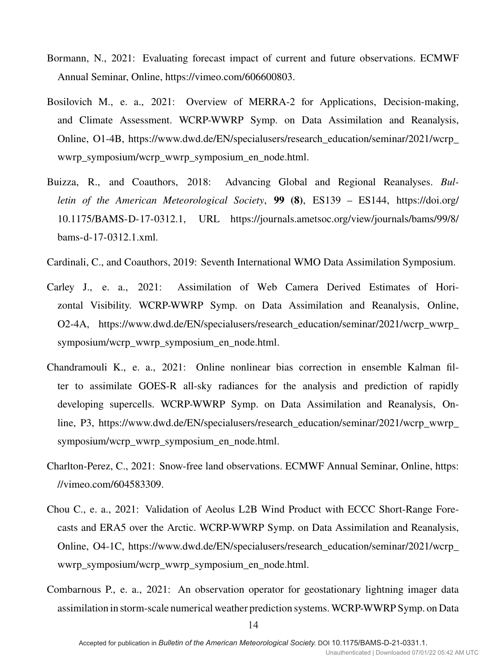- Bormann, N., 2021: Evaluating forecast impact of current and future observations. ECMWF Annual Seminar, Online, https://vimeo.com/606600803.
- Bosilovich M., e. a., 2021: Overview of MERRA-2 for Applications, Decision-making, and Climate Assessment. WCRP-WWRP Symp. on Data Assimilation and Reanalysis, Online, O1-4B, https://www.dwd.de/EN/specialusers/research\_education/seminar/2021/wcrp\_ wwrp\_symposium/wcrp\_wwrp\_symposium\_en\_node.html.
- Buizza, R., and Coauthors, 2018: Advancing Global and Regional Reanalyses. *Bulletin of the American Meteorological Society*, **99 (8)**, ES139 – ES144, https://doi.org/ 10.1175/BAMS-D-17-0312.1, URL https://journals.ametsoc.org/view/journals/bams/99/8/ bams-d-17-0312.1.xml.
- Cardinali, C., and Coauthors, 2019: Seventh International WMO Data Assimilation Symposium.
- Carley J., e. a., 2021: Assimilation of Web Camera Derived Estimates of Horizontal Visibility. WCRP-WWRP Symp. on Data Assimilation and Reanalysis, Online, O2-4A, https://www.dwd.de/EN/specialusers/research\_education/seminar/2021/wcrp\_wwrp\_ symposium/wcrp\_wwrp\_symposium\_en\_node.html.
- Chandramouli K., e. a., 2021: Online nonlinear bias correction in ensemble Kalman filter to assimilate GOES-R all-sky radiances for the analysis and prediction of rapidly developing supercells. WCRP-WWRP Symp. on Data Assimilation and Reanalysis, Online, P3, https://www.dwd.de/EN/specialusers/research\_education/seminar/2021/wcrp\_wwrp\_ symposium/wcrp\_wwrp\_symposium\_en\_node.html.
- Charlton-Perez, C., 2021: Snow-free land observations. ECMWF Annual Seminar, Online, https: //vimeo.com/604583309.
- Chou C., e. a., 2021: Validation of Aeolus L2B Wind Product with ECCC Short-Range Forecasts and ERA5 over the Arctic. WCRP-WWRP Symp. on Data Assimilation and Reanalysis, Online, O4-1C, https://www.dwd.de/EN/specialusers/research\_education/seminar/2021/wcrp\_ wwrp\_symposium/wcrp\_wwrp\_symposium\_en\_node.html.
- Combarnous P., e. a., 2021: An observation operator for geostationary lightning imager data assimilation in storm-scale numerical weather prediction systems. WCRP-WWRP Symp. on Data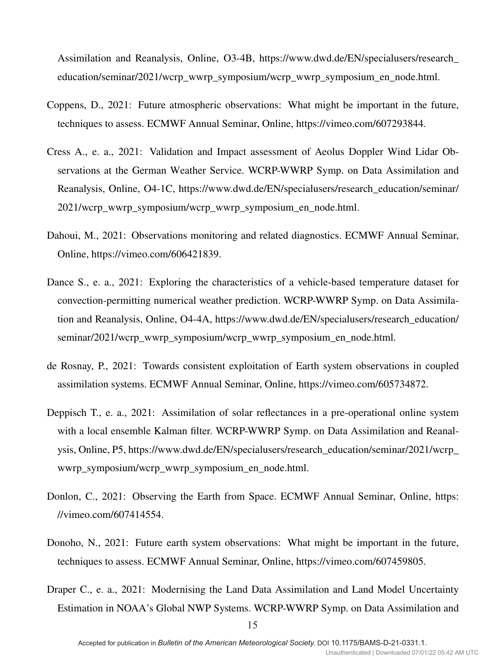Assimilation and Reanalysis, Online, O3-4B, https://www.dwd.de/EN/specialusers/research\_ education/seminar/2021/wcrp\_wwrp\_symposium/wcrp\_wwrp\_symposium\_en\_node.html.

- Coppens, D., 2021: Future atmospheric observations: What might be important in the future, techniques to assess. ECMWF Annual Seminar, Online, https://vimeo.com/607293844.
- Cress A., e. a., 2021: Validation and Impact assessment of Aeolus Doppler Wind Lidar Observations at the German Weather Service. WCRP-WWRP Symp. on Data Assimilation and Reanalysis, Online, O4-1C, https://www.dwd.de/EN/specialusers/research\_education/seminar/ 2021/wcrp\_wwrp\_symposium/wcrp\_wwrp\_symposium\_en\_node.html.
- Dahoui, M., 2021: Observations monitoring and related diagnostics. ECMWF Annual Seminar, Online, https://vimeo.com/606421839.
- Dance S., e. a., 2021: Exploring the characteristics of a vehicle-based temperature dataset for convection-permitting numerical weather prediction. WCRP-WWRP Symp. on Data Assimilation and Reanalysis, Online, O4-4A, https://www.dwd.de/EN/specialusers/research\_education/ seminar/2021/wcrp\_wwrp\_symposium/wcrp\_wwrp\_symposium\_en\_node.html.
- de Rosnay, P., 2021: Towards consistent exploitation of Earth system observations in coupled assimilation systems. ECMWF Annual Seminar, Online, https://vimeo.com/605734872.
- Deppisch T., e. a., 2021: Assimilation of solar reflectances in a pre-operational online system with a local ensemble Kalman filter. WCRP-WWRP Symp. on Data Assimilation and Reanalysis, Online, P5, https://www.dwd.de/EN/specialusers/research\_education/seminar/2021/wcrp\_ wwrp\_symposium/wcrp\_wwrp\_symposium\_en\_node.html.
- Donlon, C., 2021: Observing the Earth from Space. ECMWF Annual Seminar, Online, https: //vimeo.com/607414554.
- Donoho, N., 2021: Future earth system observations: What might be important in the future, techniques to assess. ECMWF Annual Seminar, Online, https://vimeo.com/607459805.
- Draper C., e. a., 2021: Modernising the Land Data Assimilation and Land Model Uncertainty Estimation in NOAA's Global NWP Systems. WCRP-WWRP Symp. on Data Assimilation and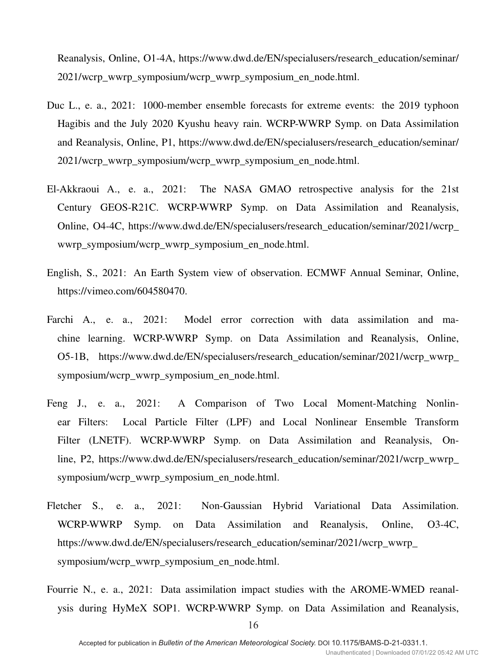Reanalysis, Online, O1-4A, https://www.dwd.de/EN/specialusers/research\_education/seminar/ 2021/wcrp\_wwrp\_symposium/wcrp\_wwrp\_symposium\_en\_node.html.

- Duc L., e. a., 2021: 1000-member ensemble forecasts for extreme events: the 2019 typhoon Hagibis and the July 2020 Kyushu heavy rain. WCRP-WWRP Symp. on Data Assimilation and Reanalysis, Online, P1, https://www.dwd.de/EN/specialusers/research\_education/seminar/ 2021/wcrp\_wwrp\_symposium/wcrp\_wwrp\_symposium\_en\_node.html.
- El-Akkraoui A., e. a., 2021: The NASA GMAO retrospective analysis for the 21st Century GEOS-R21C. WCRP-WWRP Symp. on Data Assimilation and Reanalysis, Online, O4-4C, https://www.dwd.de/EN/specialusers/research\_education/seminar/2021/wcrp\_ wwrp\_symposium/wcrp\_wwrp\_symposium\_en\_node.html.
- English, S., 2021: An Earth System view of observation. ECMWF Annual Seminar, Online, https://vimeo.com/604580470.
- Farchi A., e. a., 2021: Model error correction with data assimilation and machine learning. WCRP-WWRP Symp. on Data Assimilation and Reanalysis, Online, O5-1B, https://www.dwd.de/EN/specialusers/research\_education/seminar/2021/wcrp\_wwrp\_ symposium/wcrp\_wwrp\_symposium\_en\_node.html.
- Feng J., e. a., 2021: A Comparison of Two Local Moment-Matching Nonlinear Filters: Local Particle Filter (LPF) and Local Nonlinear Ensemble Transform Filter (LNETF). WCRP-WWRP Symp. on Data Assimilation and Reanalysis, Online, P2, https://www.dwd.de/EN/specialusers/research\_education/seminar/2021/wcrp\_wwrp\_ symposium/wcrp\_wwrp\_symposium\_en\_node.html.
- Fletcher S., e. a., 2021: Non-Gaussian Hybrid Variational Data Assimilation. WCRP-WWRP Symp. on Data Assimilation and Reanalysis, Online, O3-4C, https://www.dwd.de/EN/specialusers/research\_education/seminar/2021/wcrp\_wwrp symposium/wcrp\_wwrp\_symposium\_en\_node.html.
- Fourrie N., e. a., 2021: Data assimilation impact studies with the AROME-WMED reanalysis during HyMeX SOP1. WCRP-WWRP Symp. on Data Assimilation and Reanalysis,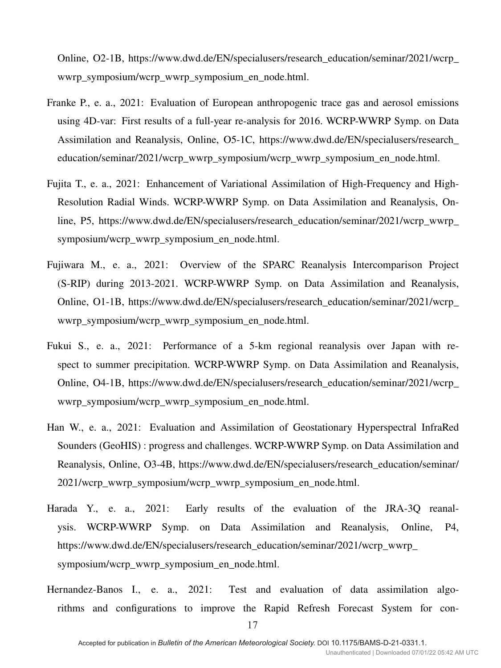Online, O2-1B, https://www.dwd.de/EN/specialusers/research\_education/seminar/2021/wcrp\_ wwrp\_symposium/wcrp\_wwrp\_symposium\_en\_node.html.

- Franke P., e. a., 2021: Evaluation of European anthropogenic trace gas and aerosol emissions using 4D-var: First results of a full-year re-analysis for 2016. WCRP-WWRP Symp. on Data Assimilation and Reanalysis, Online, O5-1C, https://www.dwd.de/EN/specialusers/research\_ education/seminar/2021/wcrp\_wwrp\_symposium/wcrp\_wwrp\_symposium\_en\_node.html.
- Fujita T., e. a., 2021: Enhancement of Variational Assimilation of High-Frequency and High-Resolution Radial Winds. WCRP-WWRP Symp. on Data Assimilation and Reanalysis, Online, P5, https://www.dwd.de/EN/specialusers/research\_education/seminar/2021/wcrp\_wwrp\_ symposium/wcrp\_wwrp\_symposium\_en\_node.html.
- Fujiwara M., e. a., 2021: Overview of the SPARC Reanalysis Intercomparison Project (S-RIP) during 2013-2021. WCRP-WWRP Symp. on Data Assimilation and Reanalysis, Online, O1-1B, https://www.dwd.de/EN/specialusers/research\_education/seminar/2021/wcrp\_ wwrp\_symposium/wcrp\_wwrp\_symposium\_en\_node.html.
- Fukui S., e. a., 2021: Performance of a 5-km regional reanalysis over Japan with respect to summer precipitation. WCRP-WWRP Symp. on Data Assimilation and Reanalysis, Online, O4-1B, https://www.dwd.de/EN/specialusers/research\_education/seminar/2021/wcrp\_ wwrp\_symposium/wcrp\_wwrp\_symposium\_en\_node.html.
- Han W., e. a., 2021: Evaluation and Assimilation of Geostationary Hyperspectral InfraRed Sounders (GeoHIS) : progress and challenges. WCRP-WWRP Symp. on Data Assimilation and Reanalysis, Online, O3-4B, https://www.dwd.de/EN/specialusers/research\_education/seminar/ 2021/wcrp\_wwrp\_symposium/wcrp\_wwrp\_symposium\_en\_node.html.
- Harada Y., e. a., 2021: Early results of the evaluation of the JRA-3Q reanalysis. WCRP-WWRP Symp. on Data Assimilation and Reanalysis, Online, P4, https://www.dwd.de/EN/specialusers/research\_education/seminar/2021/wcrp\_wwrp symposium/wcrp\_wwrp\_symposium\_en\_node.html.
- Hernandez-Banos I., e. a., 2021: Test and evaluation of data assimilation algorithms and configurations to improve the Rapid Refresh Forecast System for con-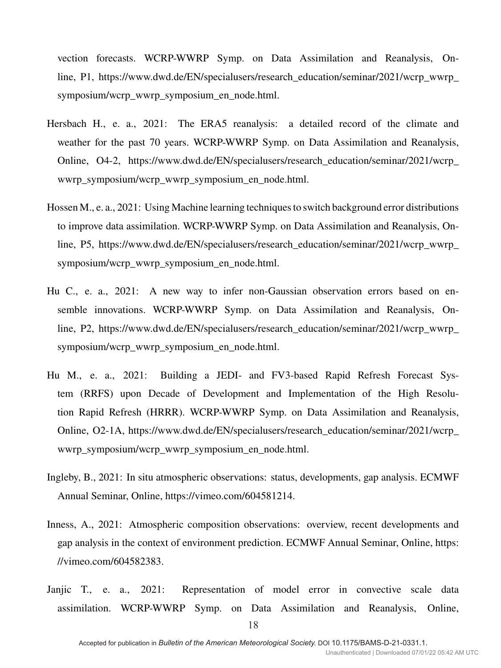vection forecasts. WCRP-WWRP Symp. on Data Assimilation and Reanalysis, Online, P1, https://www.dwd.de/EN/specialusers/research\_education/seminar/2021/wcrp\_wwrp\_ symposium/wcrp\_wwrp\_symposium\_en\_node.html.

- Hersbach H., e. a., 2021: The ERA5 reanalysis: a detailed record of the climate and weather for the past 70 years. WCRP-WWRP Symp. on Data Assimilation and Reanalysis, Online, O4-2, https://www.dwd.de/EN/specialusers/research\_education/seminar/2021/wcrp\_ wwrp\_symposium/wcrp\_wwrp\_symposium\_en\_node.html.
- Hossen M., e. a., 2021: Using Machine learning techniques to switch background error distributions to improve data assimilation. WCRP-WWRP Symp. on Data Assimilation and Reanalysis, Online, P5, https://www.dwd.de/EN/specialusers/research\_education/seminar/2021/wcrp\_wwrp\_ symposium/wcrp\_wwrp\_symposium\_en\_node.html.
- Hu C., e. a., 2021: A new way to infer non-Gaussian observation errors based on ensemble innovations. WCRP-WWRP Symp. on Data Assimilation and Reanalysis, Online, P2, https://www.dwd.de/EN/specialusers/research\_education/seminar/2021/wcrp\_wwrp\_ symposium/wcrp\_wwrp\_symposium\_en\_node.html.
- Hu M., e. a., 2021: Building a JEDI- and FV3-based Rapid Refresh Forecast System (RRFS) upon Decade of Development and Implementation of the High Resolution Rapid Refresh (HRRR). WCRP-WWRP Symp. on Data Assimilation and Reanalysis, Online, O2-1A, https://www.dwd.de/EN/specialusers/research\_education/seminar/2021/wcrp\_ wwrp\_symposium/wcrp\_wwrp\_symposium\_en\_node.html.
- Ingleby, B., 2021: In situ atmospheric observations: status, developments, gap analysis. ECMWF Annual Seminar, Online, https://vimeo.com/604581214.
- Inness, A., 2021: Atmospheric composition observations: overview, recent developments and gap analysis in the context of environment prediction. ECMWF Annual Seminar, Online, https: //vimeo.com/604582383.
- Janjic T., e. a., 2021: Representation of model error in convective scale data assimilation. WCRP-WWRP Symp. on Data Assimilation and Reanalysis, Online,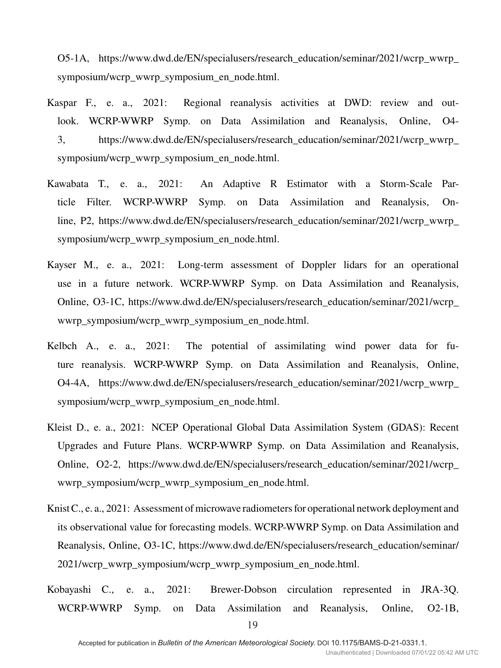O5-1A, https://www.dwd.de/EN/specialusers/research\_education/seminar/2021/wcrp\_wwrp\_ symposium/wcrp\_wwrp\_symposium\_en\_node.html.

- Kaspar F., e. a., 2021: Regional reanalysis activities at DWD: review and outlook. WCRP-WWRP Symp. on Data Assimilation and Reanalysis, Online, O4- 3, https://www.dwd.de/EN/specialusers/research\_education/seminar/2021/wcrp\_wwrp\_ symposium/wcrp\_wwrp\_symposium\_en\_node.html.
- Kawabata T., e. a., 2021: An Adaptive R Estimator with a Storm-Scale Particle Filter. WCRP-WWRP Symp. on Data Assimilation and Reanalysis, Online, P2, https://www.dwd.de/EN/specialusers/research\_education/seminar/2021/wcrp\_wwrp\_ symposium/wcrp\_wwrp\_symposium\_en\_node.html.
- Kayser M., e. a., 2021: Long-term assessment of Doppler lidars for an operational use in a future network. WCRP-WWRP Symp. on Data Assimilation and Reanalysis, Online, O3-1C, https://www.dwd.de/EN/specialusers/research\_education/seminar/2021/wcrp\_ wwrp\_symposium/wcrp\_wwrp\_symposium\_en\_node.html.
- Kelbch A., e. a., 2021: The potential of assimilating wind power data for future reanalysis. WCRP-WWRP Symp. on Data Assimilation and Reanalysis, Online, O4-4A, https://www.dwd.de/EN/specialusers/research\_education/seminar/2021/wcrp\_wwrp\_ symposium/wcrp\_wwrp\_symposium\_en\_node.html.
- Kleist D., e. a., 2021: NCEP Operational Global Data Assimilation System (GDAS): Recent Upgrades and Future Plans. WCRP-WWRP Symp. on Data Assimilation and Reanalysis, Online, O2-2, https://www.dwd.de/EN/specialusers/research\_education/seminar/2021/wcrp\_ wwrp\_symposium/wcrp\_wwrp\_symposium\_en\_node.html.
- Knist C., e. a., 2021: Assessment of microwave radiometers for operational network deployment and its observational value for forecasting models. WCRP-WWRP Symp. on Data Assimilation and Reanalysis, Online, O3-1C, https://www.dwd.de/EN/specialusers/research\_education/seminar/ 2021/wcrp\_wwrp\_symposium/wcrp\_wwrp\_symposium\_en\_node.html.
- Kobayashi C., e. a., 2021: Brewer-Dobson circulation represented in JRA-3Q. WCRP-WWRP Symp. on Data Assimilation and Reanalysis, Online, O2-1B,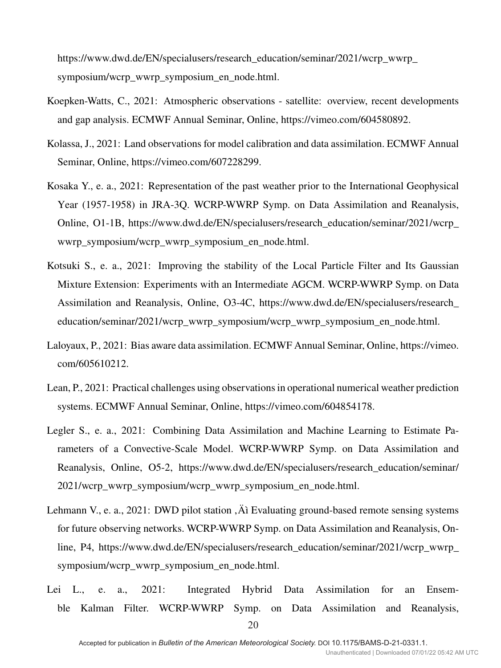https://www.dwd.de/EN/specialusers/research\_education/seminar/2021/wcrp\_wwrp symposium/wcrp\_wwrp\_symposium\_en\_node.html.

- Koepken-Watts, C., 2021: Atmospheric observations satellite: overview, recent developments and gap analysis. ECMWF Annual Seminar, Online, https://vimeo.com/604580892.
- Kolassa, J., 2021: Land observations for model calibration and data assimilation. ECMWF Annual Seminar, Online, https://vimeo.com/607228299.
- Kosaka Y., e. a., 2021: Representation of the past weather prior to the International Geophysical Year (1957-1958) in JRA-3Q. WCRP-WWRP Symp. on Data Assimilation and Reanalysis, Online, O1-1B, https://www.dwd.de/EN/specialusers/research\_education/seminar/2021/wcrp\_ wwrp\_symposium/wcrp\_wwrp\_symposium\_en\_node.html.
- Kotsuki S., e. a., 2021: Improving the stability of the Local Particle Filter and Its Gaussian Mixture Extension: Experiments with an Intermediate AGCM. WCRP-WWRP Symp. on Data Assimilation and Reanalysis, Online, O3-4C, https://www.dwd.de/EN/specialusers/research\_ education/seminar/2021/wcrp\_wwrp\_symposium/wcrp\_wwrp\_symposium\_en\_node.html.
- Laloyaux, P., 2021: Bias aware data assimilation. ECMWF Annual Seminar, Online, https://vimeo. com/605610212.
- Lean, P., 2021: Practical challenges using observations in operational numerical weather prediction systems. ECMWF Annual Seminar, Online, https://vimeo.com/604854178.
- Legler S., e. a., 2021: Combining Data Assimilation and Machine Learning to Estimate Parameters of a Convective-Scale Model. WCRP-WWRP Symp. on Data Assimilation and Reanalysis, Online, O5-2, https://www.dwd.de/EN/specialusers/research\_education/seminar/ 2021/wcrp\_wwrp\_symposium/wcrp\_wwrp\_symposium\_en\_node.html.
- Lehmann V., e. a., 2021: DWD pilot station , At Evaluating ground-based remote sensing systems for future observing networks. WCRP-WWRP Symp. on Data Assimilation and Reanalysis, Online, P4, https://www.dwd.de/EN/specialusers/research\_education/seminar/2021/wcrp\_wwrp\_ symposium/wcrp\_wwrp\_symposium\_en\_node.html.
- Lei L., e. a., 2021: Integrated Hybrid Data Assimilation for an Ensemble Kalman Filter. WCRP-WWRP Symp. on Data Assimilation and Reanalysis,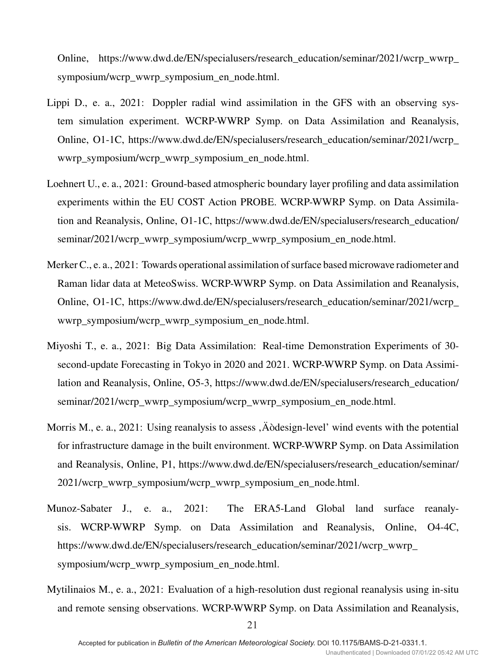Online, https://www.dwd.de/EN/specialusers/research\_education/seminar/2021/wcrp\_wwrp\_ symposium/wcrp\_wwrp\_symposium\_en\_node.html.

- Lippi D., e. a., 2021: Doppler radial wind assimilation in the GFS with an observing system simulation experiment. WCRP-WWRP Symp. on Data Assimilation and Reanalysis, Online, O1-1C, https://www.dwd.de/EN/specialusers/research\_education/seminar/2021/wcrp\_ wwrp\_symposium/wcrp\_wwrp\_symposium\_en\_node.html.
- Loehnert U., e. a., 2021: Ground-based atmospheric boundary layer profiling and data assimilation experiments within the EU COST Action PROBE. WCRP-WWRP Symp. on Data Assimilation and Reanalysis, Online, O1-1C, https://www.dwd.de/EN/specialusers/research\_education/ seminar/2021/wcrp\_wwrp\_symposium/wcrp\_wwrp\_symposium\_en\_node.html.
- Merker C., e. a., 2021: Towards operational assimilation of surface based microwave radiometer and Raman lidar data at MeteoSwiss. WCRP-WWRP Symp. on Data Assimilation and Reanalysis, Online, O1-1C, https://www.dwd.de/EN/specialusers/research\_education/seminar/2021/wcrp\_ wwrp\_symposium/wcrp\_wwrp\_symposium\_en\_node.html.
- Miyoshi T., e. a., 2021: Big Data Assimilation: Real-time Demonstration Experiments of 30 second-update Forecasting in Tokyo in 2020 and 2021. WCRP-WWRP Symp. on Data Assimilation and Reanalysis, Online, O5-3, https://www.dwd.de/EN/specialusers/research\_education/ seminar/2021/wcrp\_wwrp\_symposium/wcrp\_wwrp\_symposium\_en\_node.html.
- Morris M., e. a., 2021: Using reanalysis to assess, Aodesign-level' wind events with the potential for infrastructure damage in the built environment. WCRP-WWRP Symp. on Data Assimilation and Reanalysis, Online, P1, https://www.dwd.de/EN/specialusers/research\_education/seminar/ 2021/wcrp\_wwrp\_symposium/wcrp\_wwrp\_symposium\_en\_node.html.
- Munoz-Sabater J., e. a., 2021: The ERA5-Land Global land surface reanalysis. WCRP-WWRP Symp. on Data Assimilation and Reanalysis, Online, O4-4C, https://www.dwd.de/EN/specialusers/research\_education/seminar/2021/wcrp\_wwrp symposium/wcrp\_wwrp\_symposium\_en\_node.html.
- Mytilinaios M., e. a., 2021: Evaluation of a high-resolution dust regional reanalysis using in-situ and remote sensing observations. WCRP-WWRP Symp. on Data Assimilation and Reanalysis,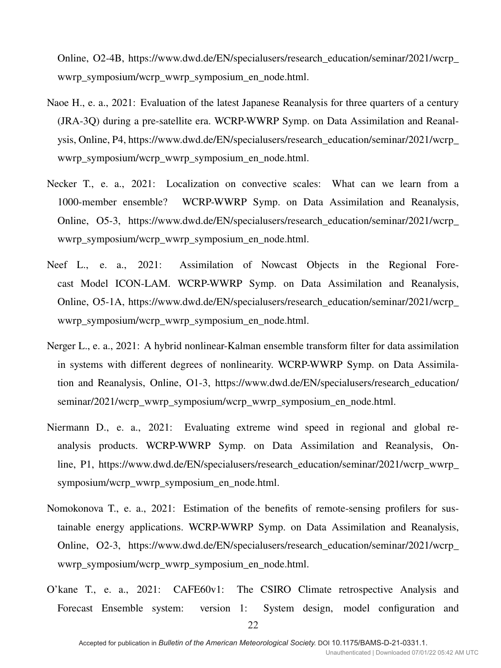Online, O2-4B, https://www.dwd.de/EN/specialusers/research\_education/seminar/2021/wcrp\_ wwrp\_symposium/wcrp\_wwrp\_symposium\_en\_node.html.

- Naoe H., e. a., 2021: Evaluation of the latest Japanese Reanalysis for three quarters of a century (JRA-3Q) during a pre-satellite era. WCRP-WWRP Symp. on Data Assimilation and Reanalysis, Online, P4, https://www.dwd.de/EN/specialusers/research\_education/seminar/2021/wcrp\_ wwrp\_symposium/wcrp\_wwrp\_symposium\_en\_node.html.
- Necker T., e. a., 2021: Localization on convective scales: What can we learn from a 1000-member ensemble? WCRP-WWRP Symp. on Data Assimilation and Reanalysis, Online, O5-3, https://www.dwd.de/EN/specialusers/research\_education/seminar/2021/wcrp\_ wwrp\_symposium/wcrp\_wwrp\_symposium\_en\_node.html.
- Neef L., e. a., 2021: Assimilation of Nowcast Objects in the Regional Forecast Model ICON-LAM. WCRP-WWRP Symp. on Data Assimilation and Reanalysis, Online, O5-1A, https://www.dwd.de/EN/specialusers/research\_education/seminar/2021/wcrp\_ wwrp\_symposium/wcrp\_wwrp\_symposium\_en\_node.html.
- Nerger L., e. a., 2021: A hybrid nonlinear-Kalman ensemble transform filter for data assimilation in systems with different degrees of nonlinearity. WCRP-WWRP Symp. on Data Assimilation and Reanalysis, Online, O1-3, https://www.dwd.de/EN/specialusers/research\_education/ seminar/2021/wcrp\_wwrp\_symposium/wcrp\_wwrp\_symposium\_en\_node.html.
- Niermann D., e. a., 2021: Evaluating extreme wind speed in regional and global reanalysis products. WCRP-WWRP Symp. on Data Assimilation and Reanalysis, Online, P1, https://www.dwd.de/EN/specialusers/research\_education/seminar/2021/wcrp\_wwrp\_ symposium/wcrp\_wwrp\_symposium\_en\_node.html.
- Nomokonova T., e. a., 2021: Estimation of the benefits of remote-sensing profilers for sustainable energy applications. WCRP-WWRP Symp. on Data Assimilation and Reanalysis, Online, O2-3, https://www.dwd.de/EN/specialusers/research\_education/seminar/2021/wcrp\_ wwrp\_symposium/wcrp\_wwrp\_symposium\_en\_node.html.
- O'kane T., e. a., 2021: CAFE60v1: The CSIRO Climate retrospective Analysis and Forecast Ensemble system: version 1: System design, model configuration and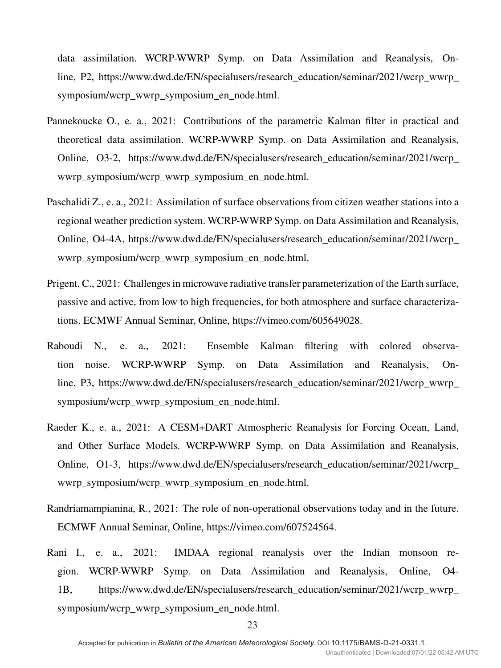data assimilation. WCRP-WWRP Symp. on Data Assimilation and Reanalysis, Online, P2, https://www.dwd.de/EN/specialusers/research\_education/seminar/2021/wcrp\_wwrp\_ symposium/wcrp\_wwrp\_symposium\_en\_node.html.

- Pannekoucke O., e. a., 2021: Contributions of the parametric Kalman filter in practical and theoretical data assimilation. WCRP-WWRP Symp. on Data Assimilation and Reanalysis, Online, O3-2, https://www.dwd.de/EN/specialusers/research\_education/seminar/2021/wcrp\_ wwrp\_symposium/wcrp\_wwrp\_symposium\_en\_node.html.
- Paschalidi Z., e. a., 2021: Assimilation of surface observations from citizen weather stations into a regional weather prediction system. WCRP-WWRP Symp. on Data Assimilation and Reanalysis, Online, O4-4A, https://www.dwd.de/EN/specialusers/research\_education/seminar/2021/wcrp\_ wwrp\_symposium/wcrp\_wwrp\_symposium\_en\_node.html.
- Prigent, C., 2021: Challenges in microwave radiative transfer parameterization of the Earth surface, passive and active, from low to high frequencies, for both atmosphere and surface characterizations. ECMWF Annual Seminar, Online, https://vimeo.com/605649028.
- Raboudi N., e. a., 2021: Ensemble Kalman filtering with colored observation noise. WCRP-WWRP Symp. on Data Assimilation and Reanalysis, Online, P3, https://www.dwd.de/EN/specialusers/research\_education/seminar/2021/wcrp\_wwrp\_ symposium/wcrp\_wwrp\_symposium\_en\_node.html.
- Raeder K., e. a., 2021: A CESM+DART Atmospheric Reanalysis for Forcing Ocean, Land, and Other Surface Models. WCRP-WWRP Symp. on Data Assimilation and Reanalysis, Online, O1-3, https://www.dwd.de/EN/specialusers/research\_education/seminar/2021/wcrp\_ wwrp\_symposium/wcrp\_wwrp\_symposium\_en\_node.html.
- Randriamampianina, R., 2021: The role of non-operational observations today and in the future. ECMWF Annual Seminar, Online, https://vimeo.com/607524564.
- Rani I., e. a., 2021: IMDAA regional reanalysis over the Indian monsoon region. WCRP-WWRP Symp. on Data Assimilation and Reanalysis, Online, O4- 1B, https://www.dwd.de/EN/specialusers/research\_education/seminar/2021/wcrp\_wwrp\_ symposium/wcrp\_wwrp\_symposium\_en\_node.html.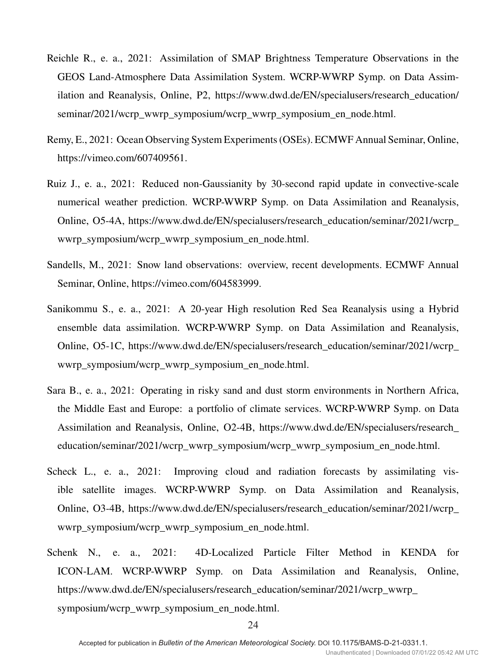- Reichle R., e. a., 2021: Assimilation of SMAP Brightness Temperature Observations in the GEOS Land-Atmosphere Data Assimilation System. WCRP-WWRP Symp. on Data Assimilation and Reanalysis, Online, P2, https://www.dwd.de/EN/specialusers/research\_education/ seminar/2021/wcrp\_wwrp\_symposium/wcrp\_wwrp\_symposium\_en\_node.html.
- Remy, E., 2021: Ocean Observing System Experiments (OSEs). ECMWF Annual Seminar, Online, https://vimeo.com/607409561.
- Ruiz J., e. a., 2021: Reduced non-Gaussianity by 30-second rapid update in convective-scale numerical weather prediction. WCRP-WWRP Symp. on Data Assimilation and Reanalysis, Online, O5-4A, https://www.dwd.de/EN/specialusers/research\_education/seminar/2021/wcrp\_ wwrp\_symposium/wcrp\_wwrp\_symposium\_en\_node.html.
- Sandells, M., 2021: Snow land observations: overview, recent developments. ECMWF Annual Seminar, Online, https://vimeo.com/604583999.
- Sanikommu S., e. a., 2021: A 20-year High resolution Red Sea Reanalysis using a Hybrid ensemble data assimilation. WCRP-WWRP Symp. on Data Assimilation and Reanalysis, Online, O5-1C, https://www.dwd.de/EN/specialusers/research\_education/seminar/2021/wcrp\_ wwrp\_symposium/wcrp\_wwrp\_symposium\_en\_node.html.
- Sara B., e. a., 2021: Operating in risky sand and dust storm environments in Northern Africa, the Middle East and Europe: a portfolio of climate services. WCRP-WWRP Symp. on Data Assimilation and Reanalysis, Online, O2-4B, https://www.dwd.de/EN/specialusers/research\_ education/seminar/2021/wcrp\_wwrp\_symposium/wcrp\_wwrp\_symposium\_en\_node.html.
- Scheck L., e. a., 2021: Improving cloud and radiation forecasts by assimilating visible satellite images. WCRP-WWRP Symp. on Data Assimilation and Reanalysis, Online, O3-4B, https://www.dwd.de/EN/specialusers/research\_education/seminar/2021/wcrp\_ wwrp\_symposium/wcrp\_wwrp\_symposium\_en\_node.html.
- Schenk N., e. a., 2021: 4D-Localized Particle Filter Method in KENDA for ICON-LAM. WCRP-WWRP Symp. on Data Assimilation and Reanalysis, Online, https://www.dwd.de/EN/specialusers/research\_education/seminar/2021/wcrp\_wwrp\_ symposium/wcrp\_wwrp\_symposium\_en\_node.html.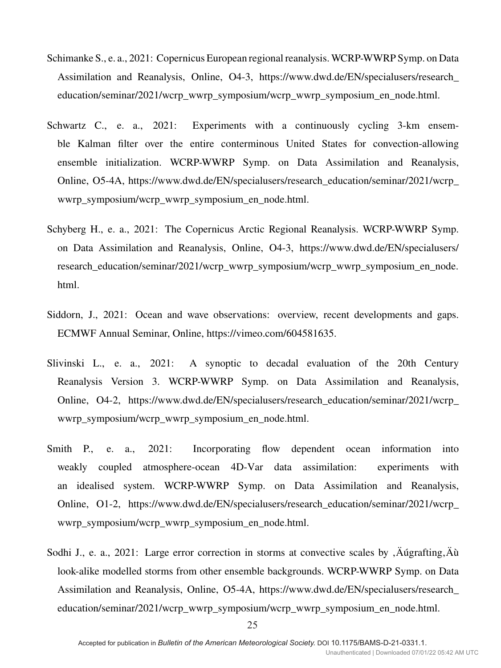- Schimanke S., e. a., 2021: Copernicus European regional reanalysis. WCRP-WWRP Symp. on Data Assimilation and Reanalysis, Online, O4-3, https://www.dwd.de/EN/specialusers/research\_ education/seminar/2021/wcrp\_wwrp\_symposium/wcrp\_wwrp\_symposium\_en\_node.html.
- Schwartz C., e. a., 2021: Experiments with a continuously cycling 3-km ensemble Kalman filter over the entire conterminous United States for convection-allowing ensemble initialization. WCRP-WWRP Symp. on Data Assimilation and Reanalysis, Online, O5-4A, https://www.dwd.de/EN/specialusers/research\_education/seminar/2021/wcrp\_ wwrp\_symposium/wcrp\_wwrp\_symposium\_en\_node.html.
- Schyberg H., e. a., 2021: The Copernicus Arctic Regional Reanalysis. WCRP-WWRP Symp. on Data Assimilation and Reanalysis, Online, O4-3, https://www.dwd.de/EN/specialusers/ research\_education/seminar/2021/wcrp\_wwrp\_symposium/wcrp\_wwrp\_symposium\_en\_node. html.
- Siddorn, J., 2021: Ocean and wave observations: overview, recent developments and gaps. ECMWF Annual Seminar, Online, https://vimeo.com/604581635.
- Slivinski L., e. a., 2021: A synoptic to decadal evaluation of the 20th Century Reanalysis Version 3. WCRP-WWRP Symp. on Data Assimilation and Reanalysis, Online, O4-2, https://www.dwd.de/EN/specialusers/research\_education/seminar/2021/wcrp\_ wwrp\_symposium/wcrp\_wwrp\_symposium\_en\_node.html.
- Smith P., e. a., 2021: Incorporating flow dependent ocean information into weakly coupled atmosphere-ocean 4D-Var data assimilation: experiments with an idealised system. WCRP-WWRP Symp. on Data Assimilation and Reanalysis, Online, O1-2, https://www.dwd.de/EN/specialusers/research\_education/seminar/2021/wcrp\_ wwrp\_symposium/wcrp\_wwrp\_symposium\_en\_node.html.
- Sodhi J., e. a., 2021: Large error correction in storms at convective scales by  $\hat{A}$  Augrafting,  $\hat{A}$ u look-alike modelled storms from other ensemble backgrounds. WCRP-WWRP Symp. on Data Assimilation and Reanalysis, Online, O5-4A, https://www.dwd.de/EN/specialusers/research\_ education/seminar/2021/wcrp\_wwrp\_symposium/wcrp\_wwrp\_symposium\_en\_node.html.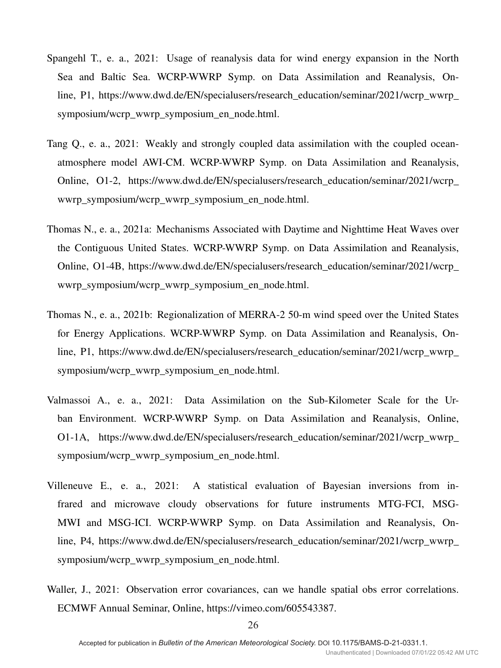- Spangehl T., e. a., 2021: Usage of reanalysis data for wind energy expansion in the North Sea and Baltic Sea. WCRP-WWRP Symp. on Data Assimilation and Reanalysis, Online, P1, https://www.dwd.de/EN/specialusers/research\_education/seminar/2021/wcrp\_wwrp\_ symposium/wcrp\_wwrp\_symposium\_en\_node.html.
- Tang Q., e. a., 2021: Weakly and strongly coupled data assimilation with the coupled oceanatmosphere model AWI-CM. WCRP-WWRP Symp. on Data Assimilation and Reanalysis, Online, O1-2, https://www.dwd.de/EN/specialusers/research\_education/seminar/2021/wcrp\_ wwrp\_symposium/wcrp\_wwrp\_symposium\_en\_node.html.
- Thomas N., e. a., 2021a: Mechanisms Associated with Daytime and Nighttime Heat Waves over the Contiguous United States. WCRP-WWRP Symp. on Data Assimilation and Reanalysis, Online, O1-4B, https://www.dwd.de/EN/specialusers/research\_education/seminar/2021/wcrp\_ wwrp\_symposium/wcrp\_wwrp\_symposium\_en\_node.html.
- Thomas N., e. a., 2021b: Regionalization of MERRA-2 50-m wind speed over the United States for Energy Applications. WCRP-WWRP Symp. on Data Assimilation and Reanalysis, Online, P1, https://www.dwd.de/EN/specialusers/research\_education/seminar/2021/wcrp\_wwrp\_ symposium/wcrp\_wwrp\_symposium\_en\_node.html.
- Valmassoi A., e. a., 2021: Data Assimilation on the Sub-Kilometer Scale for the Urban Environment. WCRP-WWRP Symp. on Data Assimilation and Reanalysis, Online, O1-1A, https://www.dwd.de/EN/specialusers/research\_education/seminar/2021/wcrp\_wwrp\_ symposium/wcrp\_wwrp\_symposium\_en\_node.html.
- Villeneuve E., e. a., 2021: A statistical evaluation of Bayesian inversions from infrared and microwave cloudy observations for future instruments MTG-FCI, MSG-MWI and MSG-ICI. WCRP-WWRP Symp. on Data Assimilation and Reanalysis, Online, P4, https://www.dwd.de/EN/specialusers/research\_education/seminar/2021/wcrp\_wwrp\_ symposium/wcrp\_wwrp\_symposium\_en\_node.html.
- Waller, J., 2021: Observation error covariances, can we handle spatial obs error correlations. ECMWF Annual Seminar, Online, https://vimeo.com/605543387.